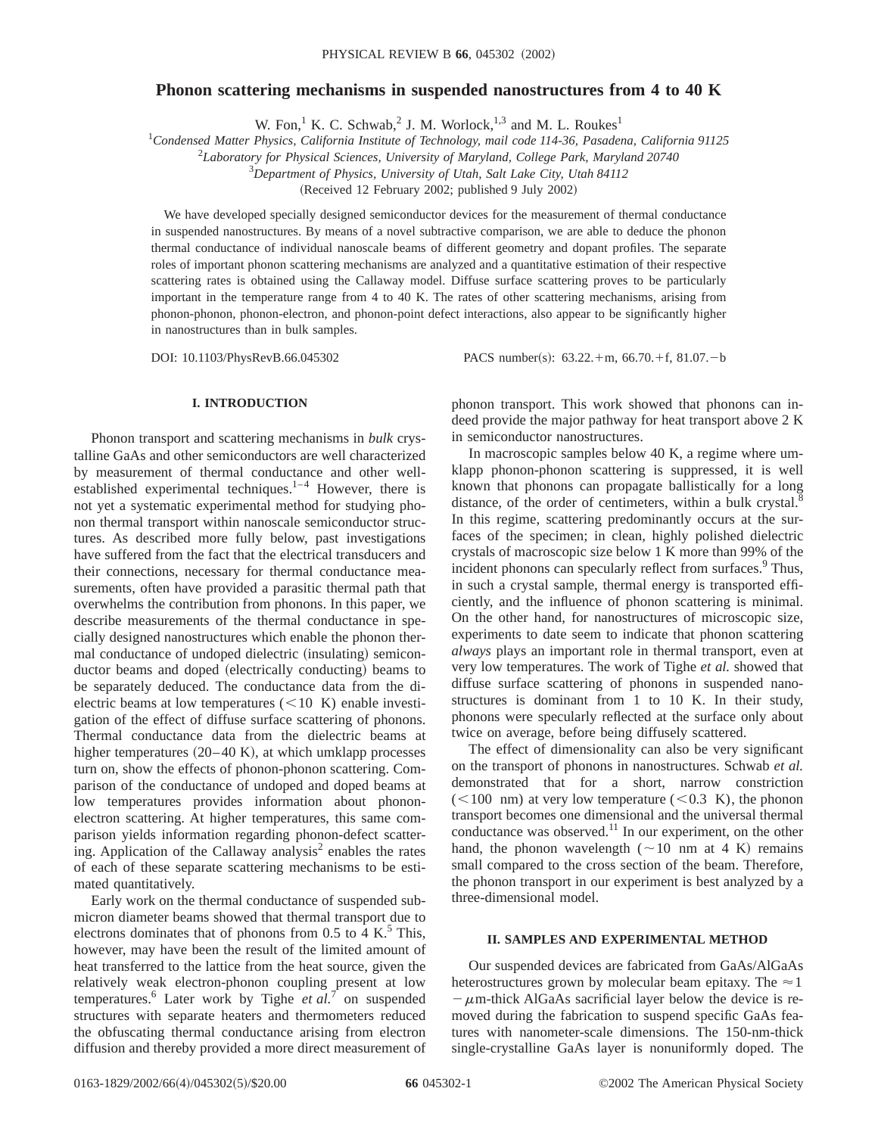# **Phonon scattering mechanisms in suspended nanostructures from 4 to 40 K**

W. Fon,<sup>1</sup> K. C. Schwab,<sup>2</sup> J. M. Worlock,<sup>1,3</sup> and M. L. Roukes<sup>1</sup>

1 *Condensed Matter Physics, California Institute of Technology, mail code 114-36, Pasadena, California 91125*

2 *Laboratory for Physical Sciences, University of Maryland, College Park, Maryland 20740*

3 *Department of Physics, University of Utah, Salt Lake City, Utah 84112*

(Received 12 February 2002; published 9 July 2002)

We have developed specially designed semiconductor devices for the measurement of thermal conductance in suspended nanostructures. By means of a novel subtractive comparison, we are able to deduce the phonon thermal conductance of individual nanoscale beams of different geometry and dopant profiles. The separate roles of important phonon scattering mechanisms are analyzed and a quantitative estimation of their respective scattering rates is obtained using the Callaway model. Diffuse surface scattering proves to be particularly important in the temperature range from 4 to 40 K. The rates of other scattering mechanisms, arising from phonon-phonon, phonon-electron, and phonon-point defect interactions, also appear to be significantly higher in nanostructures than in bulk samples.

DOI: 10.1103/PhysRevB.66.045302 PACS number(s): 63.22.+m, 66.70.+f, 81.07.-b

# **I. INTRODUCTION**

Phonon transport and scattering mechanisms in *bulk* crystalline GaAs and other semiconductors are well characterized by measurement of thermal conductance and other wellestablished experimental techniques.<sup>1-4</sup> However, there is not yet a systematic experimental method for studying phonon thermal transport within nanoscale semiconductor structures. As described more fully below, past investigations have suffered from the fact that the electrical transducers and their connections, necessary for thermal conductance measurements, often have provided a parasitic thermal path that overwhelms the contribution from phonons. In this paper, we describe measurements of the thermal conductance in specially designed nanostructures which enable the phonon thermal conductance of undoped dielectric (insulating) semiconductor beams and doped (electrically conducting) beams to be separately deduced. The conductance data from the dielectric beams at low temperatures  $(<10 K)$  enable investigation of the effect of diffuse surface scattering of phonons. Thermal conductance data from the dielectric beams at higher temperatures  $(20-40 \text{ K})$ , at which umklapp processes turn on, show the effects of phonon-phonon scattering. Comparison of the conductance of undoped and doped beams at low temperatures provides information about phononelectron scattering. At higher temperatures, this same comparison yields information regarding phonon-defect scattering. Application of the Callaway analysis<sup>2</sup> enables the rates of each of these separate scattering mechanisms to be estimated quantitatively.

Early work on the thermal conductance of suspended submicron diameter beams showed that thermal transport due to electrons dominates that of phonons from 0.5 to 4 K.<sup>5</sup> This, however, may have been the result of the limited amount of heat transferred to the lattice from the heat source, given the relatively weak electron-phonon coupling present at low temperatures.6 Later work by Tighe *et al.*<sup>7</sup> on suspended structures with separate heaters and thermometers reduced the obfuscating thermal conductance arising from electron diffusion and thereby provided a more direct measurement of phonon transport. This work showed that phonons can indeed provide the major pathway for heat transport above 2 K in semiconductor nanostructures.

In macroscopic samples below 40 K, a regime where umklapp phonon-phonon scattering is suppressed, it is well known that phonons can propagate ballistically for a long distance, of the order of centimeters, within a bulk crystal.<sup>8</sup> In this regime, scattering predominantly occurs at the surfaces of the specimen; in clean, highly polished dielectric crystals of macroscopic size below 1 K more than 99% of the incident phonons can specularly reflect from surfaces.<sup>9</sup> Thus, in such a crystal sample, thermal energy is transported efficiently, and the influence of phonon scattering is minimal. On the other hand, for nanostructures of microscopic size, experiments to date seem to indicate that phonon scattering *always* plays an important role in thermal transport, even at very low temperatures. The work of Tighe *et al.* showed that diffuse surface scattering of phonons in suspended nanostructures is dominant from 1 to 10 K. In their study, phonons were specularly reflected at the surface only about twice on average, before being diffusely scattered.

The effect of dimensionality can also be very significant on the transport of phonons in nanostructures. Schwab *et al.* demonstrated that for a short, narrow constriction  $(<100$  nm) at very low temperature  $(<0.3$  K), the phonon transport becomes one dimensional and the universal thermal conductance was observed.<sup>11</sup> In our experiment, on the other hand, the phonon wavelength ( $\sim$ 10 nm at 4 K) remains small compared to the cross section of the beam. Therefore, the phonon transport in our experiment is best analyzed by a three-dimensional model.

### **II. SAMPLES AND EXPERIMENTAL METHOD**

Our suspended devices are fabricated from GaAs/AlGaAs heterostructures grown by molecular beam epitaxy. The  $\approx$  1  $-\mu$ m-thick AlGaAs sacrificial layer below the device is removed during the fabrication to suspend specific GaAs features with nanometer-scale dimensions. The 150-nm-thick single-crystalline GaAs layer is nonuniformly doped. The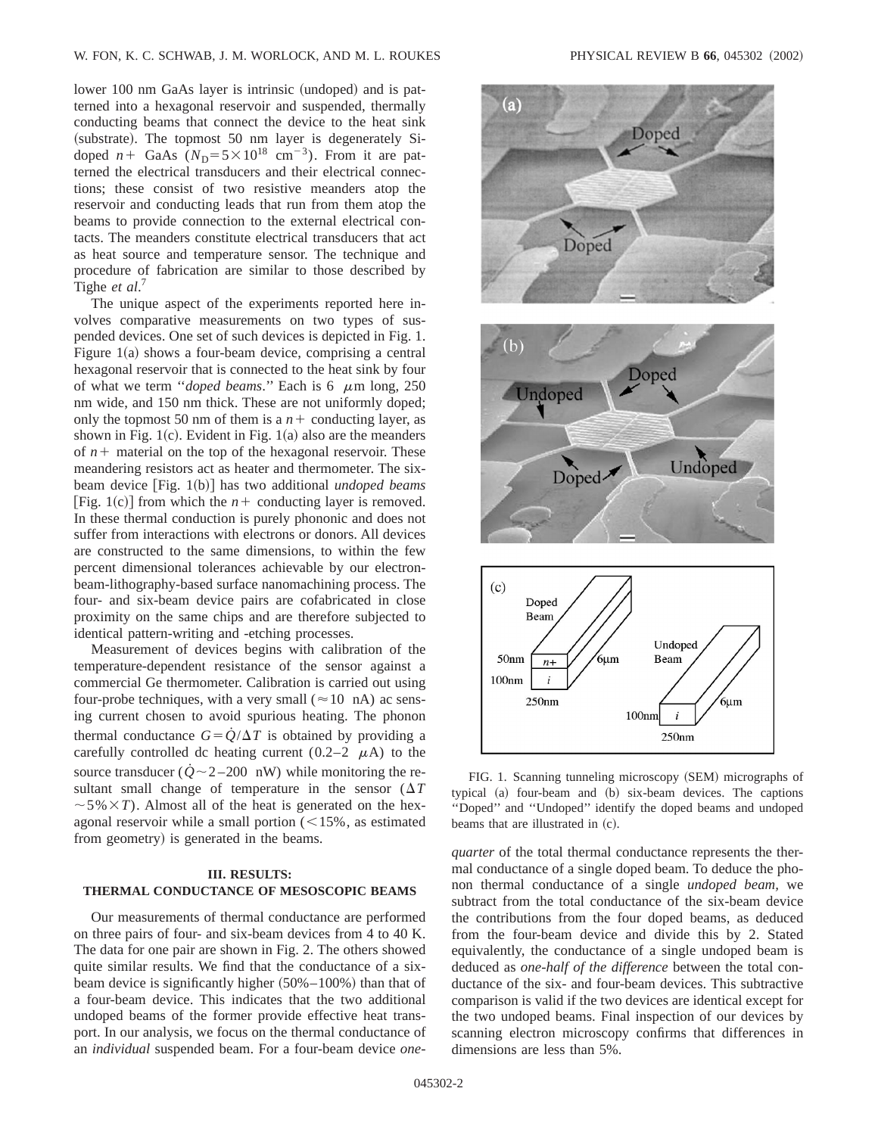lower 100 nm GaAs layer is intrinsic (undoped) and is patterned into a hexagonal reservoir and suspended, thermally conducting beams that connect the device to the heat sink (substrate). The topmost 50 nm layer is degenerately Sidoped  $n+$  GaAs  $(N_D=5\times10^{18} \text{ cm}^{-3})$ . From it are patterned the electrical transducers and their electrical connections; these consist of two resistive meanders atop the reservoir and conducting leads that run from them atop the beams to provide connection to the external electrical contacts. The meanders constitute electrical transducers that act as heat source and temperature sensor. The technique and procedure of fabrication are similar to those described by Tighe *et al*. 7

The unique aspect of the experiments reported here involves comparative measurements on two types of suspended devices. One set of such devices is depicted in Fig. 1. Figure  $1(a)$  shows a four-beam device, comprising a central hexagonal reservoir that is connected to the heat sink by four of what we term "*doped beams*." Each is  $6 \mu m$  long, 250 nm wide, and 150 nm thick. These are not uniformly doped; only the topmost 50 nm of them is a  $n+$  conducting layer, as shown in Fig. 1 $(c)$ . Evident in Fig. 1 $(a)$  also are the meanders of  $n+$  material on the top of the hexagonal reservoir. These meandering resistors act as heater and thermometer. The sixbeam device [Fig. 1(b)] has two additional *undoped beams* [Fig. 1(c)] from which the  $n+$  conducting layer is removed. In these thermal conduction is purely phononic and does not suffer from interactions with electrons or donors. All devices are constructed to the same dimensions, to within the few percent dimensional tolerances achievable by our electronbeam-lithography-based surface nanomachining process. The four- and six-beam device pairs are cofabricated in close proximity on the same chips and are therefore subjected to identical pattern-writing and -etching processes.

Measurement of devices begins with calibration of the temperature-dependent resistance of the sensor against a commercial Ge thermometer. Calibration is carried out using four-probe techniques, with a very small ( $\approx$  10 nA) ac sensing current chosen to avoid spurious heating. The phonon thermal conductance  $G = \dot{Q}/\Delta T$  is obtained by providing a carefully controlled dc heating current  $(0.2-2 \mu A)$  to the source transducer ( $\dot{Q} \sim 2-200$  nW) while monitoring the resultant small change of temperature in the sensor  $(\Delta T)$  $\sim$  5%  $\times$  *T*). Almost all of the heat is generated on the hexagonal reservoir while a small portion  $\left($  < 15%, as estimated from geometry) is generated in the beams.

# **III. RESULTS: THERMAL CONDUCTANCE OF MESOSCOPIC BEAMS**

Our measurements of thermal conductance are performed on three pairs of four- and six-beam devices from 4 to 40 K. The data for one pair are shown in Fig. 2. The others showed quite similar results. We find that the conductance of a sixbeam device is significantly higher  $(50\% - 100\%)$  than that of a four-beam device. This indicates that the two additional undoped beams of the former provide effective heat transport. In our analysis, we focus on the thermal conductance of an *individual* suspended beam. For a four-beam device *one-*



FIG. 1. Scanning tunneling microscopy (SEM) micrographs of typical (a) four-beam and (b) six-beam devices. The captions ''Doped'' and ''Undoped'' identify the doped beams and undoped beams that are illustrated in  $(c)$ .

*quarter* of the total thermal conductance represents the thermal conductance of a single doped beam. To deduce the phonon thermal conductance of a single *undoped beam,* we subtract from the total conductance of the six-beam device the contributions from the four doped beams, as deduced from the four-beam device and divide this by 2. Stated equivalently, the conductance of a single undoped beam is deduced as *one-half of the difference* between the total conductance of the six- and four-beam devices. This subtractive comparison is valid if the two devices are identical except for the two undoped beams. Final inspection of our devices by scanning electron microscopy confirms that differences in dimensions are less than 5%.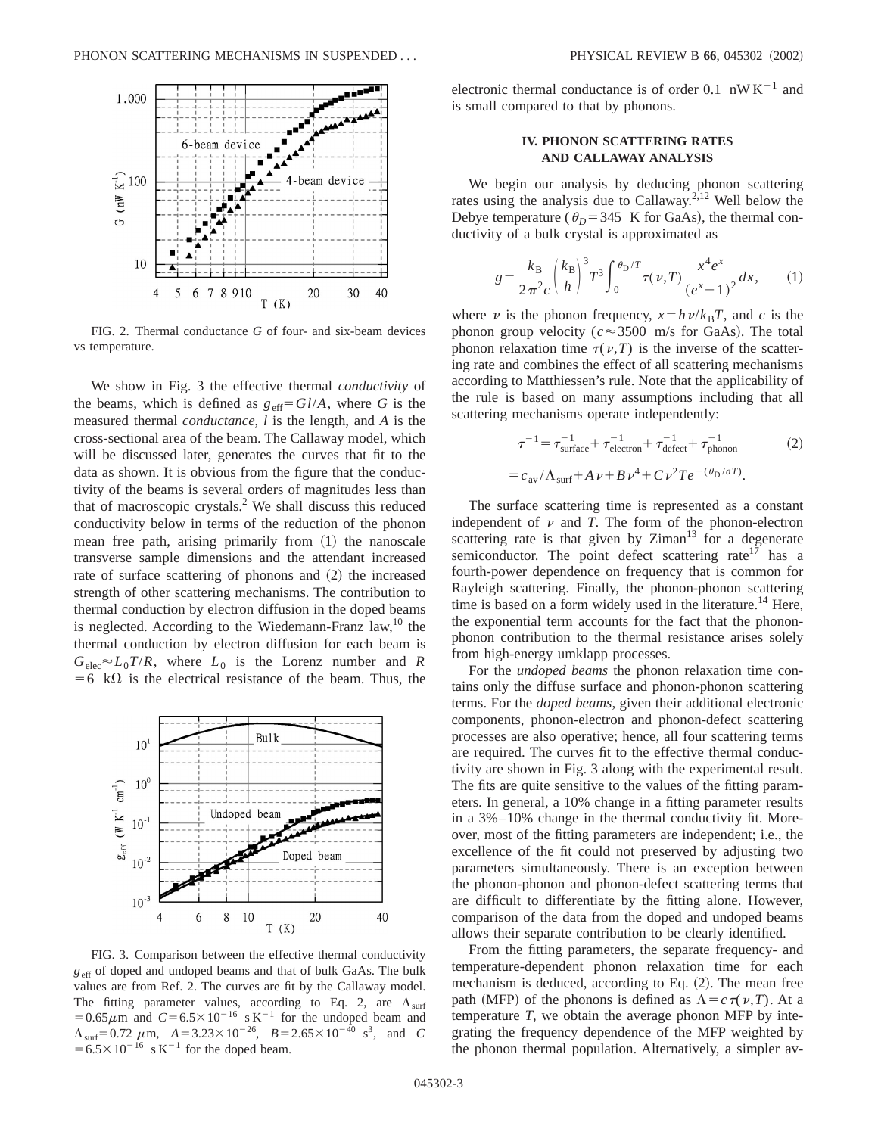

FIG. 2. Thermal conductance *G* of four- and six-beam devices vs temperature.

We show in Fig. 3 the effective thermal *conductivity* of the beams, which is defined as  $g_{\text{eff}} = Gl/A$ , where *G* is the measured thermal *conductance*, *l* is the length, and *A* is the cross-sectional area of the beam. The Callaway model, which will be discussed later, generates the curves that fit to the data as shown. It is obvious from the figure that the conductivity of the beams is several orders of magnitudes less than that of macroscopic crystals.2 We shall discuss this reduced conductivity below in terms of the reduction of the phonon mean free path, arising primarily from  $(1)$  the nanoscale transverse sample dimensions and the attendant increased rate of surface scattering of phonons and  $(2)$  the increased strength of other scattering mechanisms. The contribution to thermal conduction by electron diffusion in the doped beams is neglected. According to the Wiedemann-Franz law, $^{10}$  the thermal conduction by electron diffusion for each beam is  $G_{elec} \approx L_0 T/R$ , where  $L_0$  is the Lorenz number and *R*  $=6$  k $\Omega$  is the electrical resistance of the beam. Thus, the



FIG. 3. Comparison between the effective thermal conductivity  $g_{\text{eff}}$  of doped and undoped beams and that of bulk GaAs. The bulk values are from Ref. 2. The curves are fit by the Callaway model. The fitting parameter values, according to Eq. 2, are  $\Lambda_{\text{surf}}$  $=0.65\mu$ m and  $C=6.5\times10^{-16}$  s K<sup>-1</sup> for the undoped beam and  $\Lambda_{\text{surf}}$ = 0.72  $\mu$ m,  $A = 3.23 \times 10^{-26}$ ,  $B = 2.65 \times 10^{-40}$  s<sup>3</sup>, and *C*  $=6.5\times10^{-16}$  s K<sup>-1</sup> for the doped beam.

electronic thermal conductance is of order 0.1  $nW K^{-1}$  and is small compared to that by phonons.

## **IV. PHONON SCATTERING RATES AND CALLAWAY ANALYSIS**

We begin our analysis by deducing phonon scattering rates using the analysis due to Callaway.2,12 Well below the Debye temperature ( $\theta_D$ =345 K for GaAs), the thermal conductivity of a bulk crystal is approximated as

$$
g = \frac{k_{\rm B}}{2\pi^2 c} \left(\frac{k_{\rm B}}{h}\right)^3 T^3 \int_0^{\theta_{\rm D}/T} \tau(\nu, T) \frac{x^4 e^x}{(e^x - 1)^2} dx, \qquad (1)
$$

where  $\nu$  is the phonon frequency,  $x = h \nu / k_B T$ , and *c* is the phonon group velocity ( $c \approx 3500$  m/s for GaAs). The total phonon relaxation time  $\tau(\nu,T)$  is the inverse of the scattering rate and combines the effect of all scattering mechanisms according to Matthiessen's rule. Note that the applicability of the rule is based on many assumptions including that all scattering mechanisms operate independently:

$$
\tau^{-1} = \tau_{\text{surface}}^{-1} + \tau_{\text{electron}}^{-1} + \tau_{\text{defect}}^{-1} + \tau_{\text{phonon}}^{-1}
$$
\n
$$
= c_{\text{av}} / \Lambda_{\text{surf}} + A \nu + B \nu^{4} + C \nu^{2} T e^{-(\theta_{\text{D}}/aT)}.
$$
\n(2)

The surface scattering time is represented as a constant independent of  $\nu$  and *T*. The form of the phonon-electron scattering rate is that given by  $Ziman^{13}$  for a degenerate semiconductor. The point defect scattering rate<sup>17</sup> has a fourth-power dependence on frequency that is common for Rayleigh scattering. Finally, the phonon-phonon scattering time is based on a form widely used in the literature.<sup>14</sup> Here, the exponential term accounts for the fact that the phononphonon contribution to the thermal resistance arises solely from high-energy umklapp processes.

For the *undoped beams* the phonon relaxation time contains only the diffuse surface and phonon-phonon scattering terms. For the *doped beams*, given their additional electronic components, phonon-electron and phonon-defect scattering processes are also operative; hence, all four scattering terms are required. The curves fit to the effective thermal conductivity are shown in Fig. 3 along with the experimental result. The fits are quite sensitive to the values of the fitting parameters. In general, a 10% change in a fitting parameter results in a 3%–10% change in the thermal conductivity fit. Moreover, most of the fitting parameters are independent; i.e., the excellence of the fit could not preserved by adjusting two parameters simultaneously. There is an exception between the phonon-phonon and phonon-defect scattering terms that are difficult to differentiate by the fitting alone. However, comparison of the data from the doped and undoped beams allows their separate contribution to be clearly identified.

From the fitting parameters, the separate frequency- and temperature-dependent phonon relaxation time for each mechanism is deduced, according to Eq.  $(2)$ . The mean free path (MFP) of the phonons is defined as  $\Lambda = c \tau(\nu, T)$ . At a temperature *T*, we obtain the average phonon MFP by integrating the frequency dependence of the MFP weighted by the phonon thermal population. Alternatively, a simpler av-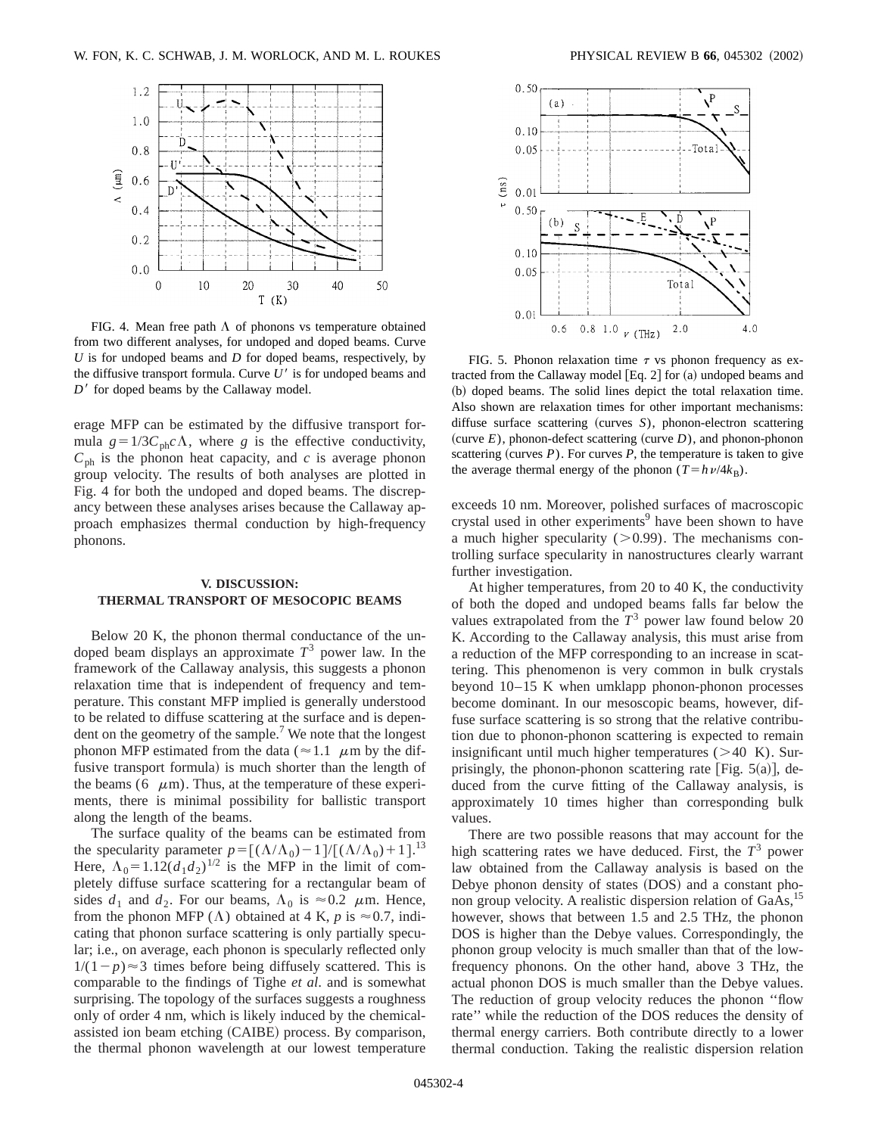

FIG. 4. Mean free path  $\Lambda$  of phonons vs temperature obtained from two different analyses, for undoped and doped beams. Curve *U* is for undoped beams and *D* for doped beams, respectively, by the diffusive transport formula. Curve  $U'$  is for undoped beams and  $D<sup>3</sup>$  for doped beams by the Callaway model.

erage MFP can be estimated by the diffusive transport formula  $g=1/3C_{\text{ph}}c\Lambda$ , where *g* is the effective conductivity,  $C_{\text{ph}}$  is the phonon heat capacity, and *c* is average phonon group velocity. The results of both analyses are plotted in Fig. 4 for both the undoped and doped beams. The discrepancy between these analyses arises because the Callaway approach emphasizes thermal conduction by high-frequency phonons.

## **V. DISCUSSION: THERMAL TRANSPORT OF MESOCOPIC BEAMS**

Below 20 K, the phonon thermal conductance of the undoped beam displays an approximate  $T<sup>3</sup>$  power law. In the framework of the Callaway analysis, this suggests a phonon relaxation time that is independent of frequency and temperature. This constant MFP implied is generally understood to be related to diffuse scattering at the surface and is dependent on the geometry of the sample.<sup>7</sup> We note that the longest phonon MFP estimated from the data ( $\approx$  1.1  $\mu$ m by the diffusive transport formula) is much shorter than the length of the beams (6  $\mu$ m). Thus, at the temperature of these experiments, there is minimal possibility for ballistic transport along the length of the beams.

The surface quality of the beams can be estimated from the specularity parameter  $p = [(\Lambda/\Lambda_0) - 1]/[(\Lambda/\Lambda_0)+1]^{13}$ . Here,  $\Lambda_0 = 1.12(d_1 d_2)^{1/2}$  is the MFP in the limit of completely diffuse surface scattering for a rectangular beam of sides  $d_1$  and  $d_2$ . For our beams,  $\Lambda_0$  is  $\approx 0.2$   $\mu$ m. Hence, from the phonon MFP ( $\Lambda$ ) obtained at 4 K, *p* is  $\approx$  0.7, indicating that phonon surface scattering is only partially specular; i.e., on average, each phonon is specularly reflected only  $1/(1-p) \approx 3$  times before being diffusely scattered. This is comparable to the findings of Tighe *et al*. and is somewhat surprising. The topology of the surfaces suggests a roughness only of order 4 nm, which is likely induced by the chemicalassisted ion beam etching (CAIBE) process. By comparison, the thermal phonon wavelength at our lowest temperature



FIG. 5. Phonon relaxation time  $\tau$  vs phonon frequency as extracted from the Callaway model  $[Eq. 2]$  for  $(a)$  undoped beams and (b) doped beams. The solid lines depict the total relaxation time. Also shown are relaxation times for other important mechanisms: diffuse surface scattering (curves *S*), phonon-electron scattering (curve  $E$ ), phonon-defect scattering (curve  $D$ ), and phonon-phonon scattering (curves  $P$ ). For curves  $P$ , the temperature is taken to give the average thermal energy of the phonon  $(T=h\nu/4k_B)$ .

exceeds 10 nm. Moreover, polished surfaces of macroscopic crystal used in other experiments<sup>9</sup> have been shown to have a much higher specularity  $(>0.99)$ . The mechanisms controlling surface specularity in nanostructures clearly warrant further investigation.

At higher temperatures, from 20 to 40 K, the conductivity of both the doped and undoped beams falls far below the values extrapolated from the  $T<sup>3</sup>$  power law found below 20 K. According to the Callaway analysis, this must arise from a reduction of the MFP corresponding to an increase in scattering. This phenomenon is very common in bulk crystals beyond 10–15 K when umklapp phonon-phonon processes become dominant. In our mesoscopic beams, however, diffuse surface scattering is so strong that the relative contribution due to phonon-phonon scattering is expected to remain insignificant until much higher temperatures  $(>40 K)$ . Surprisingly, the phonon-phonon scattering rate [Fig.  $5(a)$ ], deduced from the curve fitting of the Callaway analysis, is approximately 10 times higher than corresponding bulk values.

There are two possible reasons that may account for the high scattering rates we have deduced. First, the  $T<sup>3</sup>$  power law obtained from the Callaway analysis is based on the Debye phonon density of states (DOS) and a constant phonon group velocity. A realistic dispersion relation of GaAs,<sup>15</sup> however, shows that between 1.5 and 2.5 THz, the phonon DOS is higher than the Debye values. Correspondingly, the phonon group velocity is much smaller than that of the lowfrequency phonons. On the other hand, above 3 THz, the actual phonon DOS is much smaller than the Debye values. The reduction of group velocity reduces the phonon ''flow rate'' while the reduction of the DOS reduces the density of thermal energy carriers. Both contribute directly to a lower thermal conduction. Taking the realistic dispersion relation